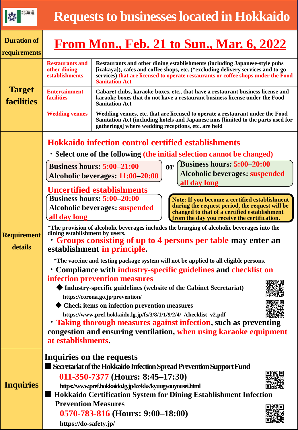| 北海道                                | <b>Requests to businesses located in Hokkaido</b>                                                                                                                                                                                                                                                                   |                                                                                                                                                                                                                                                                              |                                                                      |  |  |  |  |
|------------------------------------|---------------------------------------------------------------------------------------------------------------------------------------------------------------------------------------------------------------------------------------------------------------------------------------------------------------------|------------------------------------------------------------------------------------------------------------------------------------------------------------------------------------------------------------------------------------------------------------------------------|----------------------------------------------------------------------|--|--|--|--|
| <b>Duration of</b><br>requirements | <u>From Mon., Feb. 21 to Sun., Mar. 6, 2022</u>                                                                                                                                                                                                                                                                     |                                                                                                                                                                                                                                                                              |                                                                      |  |  |  |  |
| <b>Target</b><br><b>facilities</b> | <b>Restaurants and</b><br>other dining<br>establishments                                                                                                                                                                                                                                                            | Restaurants and other dining establishments (including Japanese-style pubs<br>[izakaya]), cafes and coffee shops, etc. (*excluding delivery services and to-go<br>services) that are licensed to operate restaurants or coffee shops under the Food<br><b>Sanitation Act</b> |                                                                      |  |  |  |  |
|                                    | <b>Entertainment</b><br><b>facilities</b>                                                                                                                                                                                                                                                                           | Cabaret clubs, karaoke boxes, etc., that have a restaurant business license and<br>karaoke boxes that do not have a restaurant business license under the Food<br><b>Sanitation Act</b>                                                                                      |                                                                      |  |  |  |  |
|                                    | <b>Wedding venues</b>                                                                                                                                                                                                                                                                                               | Wedding venues, etc. that are licensed to operate a restaurant under the Food<br>Sanitation Act (including hotels and Japanese inns [limited to the parts used for<br>gatherings] where wedding receptions, etc. are held                                                    |                                                                      |  |  |  |  |
| <b>Requirement</b><br>details      | Hokkaido infection control certified establishments<br>· Select one of the following (the initial selection cannot be changed)<br><b>Business hours: 5:00–20:00</b>                                                                                                                                                 |                                                                                                                                                                                                                                                                              |                                                                      |  |  |  |  |
|                                    | <b>Business hours: 5:00–21:00</b><br>Alcoholic beverages: 11:00-20:00                                                                                                                                                                                                                                               | <b>Alcoholic beverages: suspended</b>                                                                                                                                                                                                                                        |                                                                      |  |  |  |  |
|                                    | Uncertified establishments<br>Business hours: 5:00–20:00<br>Note: If you become a certified establishment<br>during the request period, the request will be<br><b>Alcoholic beverages: suspended</b><br>changed to that of a certified establishment<br>all day long<br>from the day you receive the certification. |                                                                                                                                                                                                                                                                              |                                                                      |  |  |  |  |
|                                    | *The provision of alcoholic beverages includes the bringing of alcoholic beverages into the<br>dining establishment by users.<br>• Groups consisting of up to 4 persons per table may enter an<br>establishment in principle.                                                                                       |                                                                                                                                                                                                                                                                              |                                                                      |  |  |  |  |
|                                    | *The vaccine and testing package system will not be applied to all eligible persons.<br>• Compliance with industry-specific guidelines and checklist on<br>infection prevention measures                                                                                                                            |                                                                                                                                                                                                                                                                              |                                                                      |  |  |  |  |
|                                    | Industry-specific guidelines (website of the Cabinet Secretariat)<br>https://corona.go.jp/prevention/                                                                                                                                                                                                               |                                                                                                                                                                                                                                                                              |                                                                      |  |  |  |  |
|                                    | Check items on infection prevention measures<br>https://www.pref.hokkaido.lg.jp/fs/3/8/1/1/9/2/4/_/checklist_v2.pdf<br>• Taking thorough measures against infection, such as preventing                                                                                                                             |                                                                                                                                                                                                                                                                              |                                                                      |  |  |  |  |
|                                    | congestion and ensuring ventilation, when using karaoke equipment<br>at establishments.                                                                                                                                                                                                                             |                                                                                                                                                                                                                                                                              |                                                                      |  |  |  |  |
| <b>Inquiries</b>                   | Inquiries on the requests                                                                                                                                                                                                                                                                                           |                                                                                                                                                                                                                                                                              | Secretariat of the Hokkaido Infection Spread Prevention Support Fund |  |  |  |  |
|                                    | 011-350-7377 (Hours: 8:45–17:30)<br>https://www.pref.hokkaido.lg.jp/kz/kks/kyuugyouyousei.html<br>Hokkaido Certification System for Dining Establishment Infection                                                                                                                                                  |                                                                                                                                                                                                                                                                              |                                                                      |  |  |  |  |
|                                    | <b>Prevention Measures</b><br>$1.44 \times 1111 \times 1016 \times 1011$                                                                                                                                                                                                                                            | 0570-783-816 (Hours: 9:00–18:00)                                                                                                                                                                                                                                             |                                                                      |  |  |  |  |

**https://do-safety.jp/**